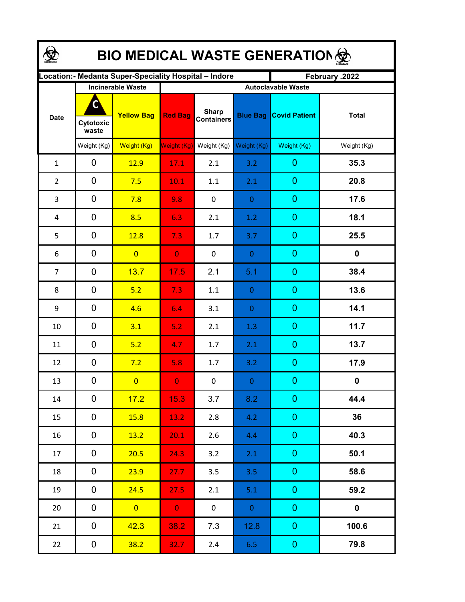| <b>BIO MEDICAL WASTE GENERATION </b> |                         |                                                       |                    |                                   |                 |                                                   |              |  |  |  |
|--------------------------------------|-------------------------|-------------------------------------------------------|--------------------|-----------------------------------|-----------------|---------------------------------------------------|--------------|--|--|--|
|                                      |                         | ocation: - Medanta Super-Speciality Hospital - Indore |                    |                                   |                 | February .2022                                    |              |  |  |  |
| <b>Date</b>                          | C<br>Cytotoxic<br>waste | <b>Incinerable Waste</b><br><b>Yellow Bag</b>         | <b>Red Bag</b>     | <b>Sharp</b><br><b>Containers</b> | <b>Blue Bag</b> | <b>Autoclavable Waste</b><br><b>Covid Patient</b> | <b>Total</b> |  |  |  |
|                                      | Weight (Kg)             | Weight (Kg)                                           | <b>Weight (Kg)</b> | Weight (Kg)                       | Weight (Kg)     | Weight (Kg)                                       | Weight (Kg)  |  |  |  |
| $\mathbf{1}$                         | 0                       | 12.9                                                  | 17.1               | 2.1                               | 3.2             | $\mathbf 0$                                       | 35.3         |  |  |  |
| $\overline{2}$                       | 0                       | 7.5                                                   | 10.1               | 1.1                               | 2.1             | $\mathbf 0$                                       | 20.8         |  |  |  |
| 3                                    | 0                       | 7.8                                                   | 9.8                | $\pmb{0}$                         | $\mathbf{0}$    | $\theta$                                          | 17.6         |  |  |  |
| 4                                    | 0                       | 8.5                                                   | 6.3                | 2.1                               | 1.2             | $\overline{0}$                                    | 18.1         |  |  |  |
| 5                                    | 0                       | 12.8                                                  | 7.3                | 1.7                               | 3.7             | $\overline{0}$                                    | 25.5         |  |  |  |
| 6                                    | 0                       | $\overline{0}$                                        | $\overline{0}$     | $\mathbf 0$                       | $\mathbf{0}$    | $\overline{0}$                                    | $\mathbf 0$  |  |  |  |
| $\overline{7}$                       | 0                       | 13.7                                                  | 17.5               | 2.1                               | 5.1             | $\overline{0}$                                    | 38.4         |  |  |  |
| 8                                    | 0                       | 5.2                                                   | 7.3                | 1.1                               | $\mathbf{0}$    | $\overline{0}$                                    | 13.6         |  |  |  |
| 9                                    | $\mathbf 0$             | 4.6                                                   | 6.4                | 3.1                               | $\mathbf{0}$    | $\overline{0}$                                    | 14.1         |  |  |  |
| 10                                   | $\mathbf 0$             | 3.1                                                   | 5.2                | 2.1                               | 1.3             | $\overline{0}$                                    | 11.7         |  |  |  |
| 11                                   | $\mathbf 0$             | 5.2                                                   | 4.7                | 1.7                               | 2.1             | $\overline{0}$                                    | 13.7         |  |  |  |
| 12                                   | 0                       | 7.2                                                   | 5.8                | 1.7                               | 3.2             | $\mathbf 0$                                       | 17.9         |  |  |  |
| 13                                   | 0                       | $\overline{0}$                                        | $\mathbf{0}$       | 0                                 | $\theta$        | $\overline{0}$                                    | $\mathbf 0$  |  |  |  |
| 14                                   | 0                       | 17.2                                                  | 15.3               | 3.7                               | 8.2             | $\overline{0}$                                    | 44.4         |  |  |  |
| 15                                   | 0                       | 15.8                                                  | 13.2               | 2.8                               | 4.2             | $\mathbf{0}$                                      | 36           |  |  |  |
| 16                                   | 0                       | 13.2                                                  | 20.1               | 2.6                               | 4.4             | $\overline{0}$                                    | 40.3         |  |  |  |
| 17                                   | 0                       | 20.5                                                  | 24.3               | 3.2                               | 2.1             | $\boldsymbol{0}$                                  | 50.1         |  |  |  |
| 18                                   | 0                       | 23.9                                                  | 27.7               | 3.5                               | 3.5             | $\overline{0}$                                    | 58.6         |  |  |  |
| 19                                   | 0                       | 24.5                                                  | 27.5               | 2.1                               | 5.1             | $\mathbf{0}$                                      | 59.2         |  |  |  |
| 20                                   | 0                       | $\overline{0}$                                        | $\mathbf{0}$       | $\mathbf 0$                       | $\overline{0}$  | $\boldsymbol{0}$                                  | $\mathbf 0$  |  |  |  |
| 21                                   | 0                       | 42.3                                                  | 38.2               | 7.3                               | 12.8            | $\overline{0}$                                    | 100.6        |  |  |  |
| 22                                   | 0                       | 38.2                                                  | 32.7               | $2.4$                             | 6.5             | $\pmb{0}$                                         | 79.8         |  |  |  |